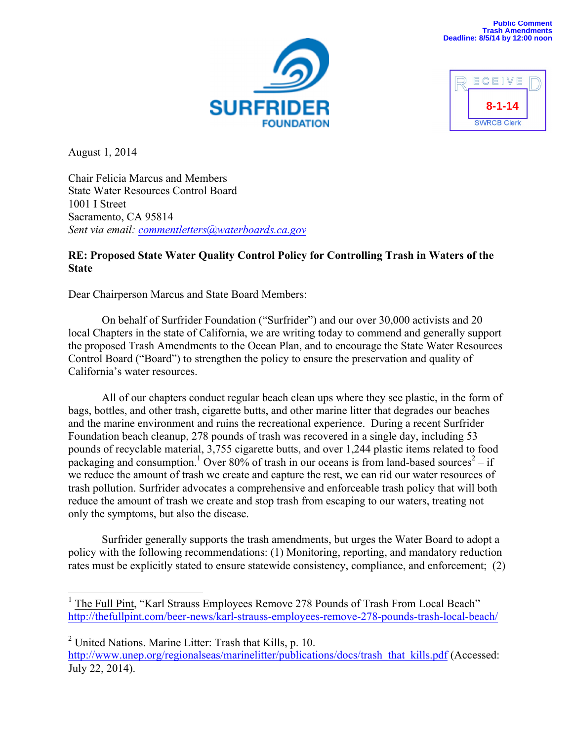



August 1, 2014

Chair Felicia Marcus and Members State Water Resources Control Board 1001 I Street Sacramento, CA 95814 *Sent via email: commentletters@waterboards.ca.gov*

# **RE: Proposed State Water Quality Control Policy for Controlling Trash in Waters of the State**

Dear Chairperson Marcus and State Board Members:

On behalf of Surfrider Foundation ("Surfrider") and our over 30,000 activists and 20 local Chapters in the state of California, we are writing today to commend and generally support the proposed Trash Amendments to the Ocean Plan, and to encourage the State Water Resources Control Board ("Board") to strengthen the policy to ensure the preservation and quality of California's water resources.

All of our chapters conduct regular beach clean ups where they see plastic, in the form of bags, bottles, and other trash, cigarette butts, and other marine litter that degrades our beaches and the marine environment and ruins the recreational experience. During a recent Surfrider Foundation beach cleanup, 278 pounds of trash was recovered in a single day, including 53 pounds of recyclable material, 3,755 cigarette butts, and over 1,244 plastic items related to food packaging and consumption.<sup>1</sup> Over 80% of trash in our oceans is from land-based sources<sup>2</sup> – if we reduce the amount of trash we create and capture the rest, we can rid our water resources of trash pollution. Surfrider advocates a comprehensive and enforceable trash policy that will both reduce the amount of trash we create and stop trash from escaping to our waters, treating not only the symptoms, but also the disease.

Surfrider generally supports the trash amendments, but urges the Water Board to adopt a policy with the following recommendations: (1) Monitoring, reporting, and mandatory reduction rates must be explicitly stated to ensure statewide consistency, compliance, and enforcement; (2)

<sup>&</sup>lt;sup>1</sup> The Full Pint, "Karl Strauss Employees Remove 278 Pounds of Trash From Local Beach" http://thefullpint.com/beer-news/karl-strauss-employees-remove-278-pounds-trash-local-beach/

 $2$  United Nations. Marine Litter: Trash that Kills, p. 10. http://www.unep.org/regionalseas/marinelitter/publications/docs/trash\_that\_kills.pdf (Accessed: July 22, 2014).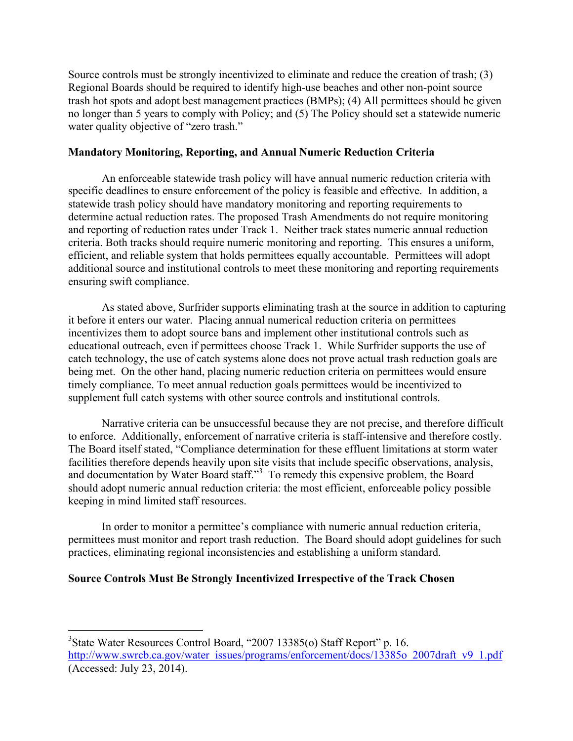Source controls must be strongly incentivized to eliminate and reduce the creation of trash; (3) Regional Boards should be required to identify high-use beaches and other non-point source trash hot spots and adopt best management practices (BMPs); (4) All permittees should be given no longer than 5 years to comply with Policy; and (5) The Policy should set a statewide numeric water quality objective of "zero trash."

### **Mandatory Monitoring, Reporting, and Annual Numeric Reduction Criteria**

An enforceable statewide trash policy will have annual numeric reduction criteria with specific deadlines to ensure enforcement of the policy is feasible and effective. In addition, a statewide trash policy should have mandatory monitoring and reporting requirements to determine actual reduction rates. The proposed Trash Amendments do not require monitoring and reporting of reduction rates under Track 1. Neither track states numeric annual reduction criteria. Both tracks should require numeric monitoring and reporting. This ensures a uniform, efficient, and reliable system that holds permittees equally accountable. Permittees will adopt additional source and institutional controls to meet these monitoring and reporting requirements ensuring swift compliance.

As stated above, Surfrider supports eliminating trash at the source in addition to capturing it before it enters our water. Placing annual numerical reduction criteria on permittees incentivizes them to adopt source bans and implement other institutional controls such as educational outreach, even if permittees choose Track 1. While Surfrider supports the use of catch technology, the use of catch systems alone does not prove actual trash reduction goals are being met. On the other hand, placing numeric reduction criteria on permittees would ensure timely compliance. To meet annual reduction goals permittees would be incentivized to supplement full catch systems with other source controls and institutional controls.

Narrative criteria can be unsuccessful because they are not precise, and therefore difficult to enforce. Additionally, enforcement of narrative criteria is staff-intensive and therefore costly. The Board itself stated, "Compliance determination for these effluent limitations at storm water facilities therefore depends heavily upon site visits that include specific observations, analysis, and documentation by Water Board staff."<sup>3</sup> To remedy this expensive problem, the Board should adopt numeric annual reduction criteria: the most efficient, enforceable policy possible keeping in mind limited staff resources.

In order to monitor a permittee's compliance with numeric annual reduction criteria, permittees must monitor and report trash reduction. The Board should adopt guidelines for such practices, eliminating regional inconsistencies and establishing a uniform standard.

### **Source Controls Must Be Strongly Incentivized Irrespective of the Track Chosen**

 <sup>3</sup> State Water Resources Control Board, "2007 13385(o) Staff Report" p. 16. http://www.swrcb.ca.gov/water\_issues/programs/enforcement/docs/13385o\_2007draft\_v9\_1.pdf (Accessed: July 23, 2014).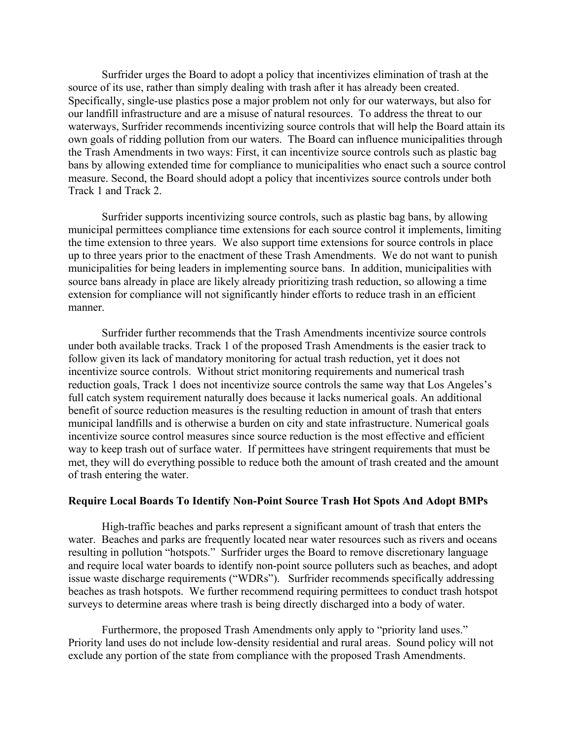Surfrider urges the Board to adopt a policy that incentivizes elimination of trash at the source of its use, rather than simply dealing with trash after it has already been created. Specifically, single-use plastics pose a major problem not only for our waterways, but also for our landfill infrastructure and are a misuse of natural resources. To address the threat to our waterways, Surfrider recommends incentivizing source controls that will help the Board attain its own goals of ridding pollution from our waters. The Board can influence municipalities through the Trash Amendments in two ways: First, it can incentivize source controls such as plastic bag bans by allowing extended time for compliance to municipalities who enact such a source control measure. Second, the Board should adopt a policy that incentivizes source controls under both Track 1 and Track 2.

Surfrider supports incentivizing source controls, such as plastic bag bans, by allowing municipal permittees compliance time extensions for each source control it implements, limiting the time extension to three years. We also support time extensions for source controls in place up to three years prior to the enactment of these Trash Amendments. We do not want to punish municipalities for being leaders in implementing source bans. In addition, municipalities with source bans already in place are likely already prioritizing trash reduction, so allowing a time extension for compliance will not significantly hinder efforts to reduce trash in an efficient manner.

Surfrider further recommends that the Trash Amendments incentivize source controls under both available tracks. Track 1 of the proposed Trash Amendments is the easier track to follow given its lack of mandatory monitoring for actual trash reduction, yet it does not incentivize source controls. Without strict monitoring requirements and numerical trash reduction goals, Track 1 does not incentivize source controls the same way that Los Angeles's full catch system requirement naturally does because it lacks numerical goals. An additional benefit of source reduction measures is the resulting reduction in amount of trash that enters municipal landfills and is otherwise a burden on city and state infrastructure. Numerical goals incentivize source control measures since source reduction is the most effective and efficient way to keep trash out of surface water. If permittees have stringent requirements that must be met, they will do everything possible to reduce both the amount of trash created and the amount of trash entering the water.

#### **Require Local Boards To Identify Non-Point Source Trash Hot Spots And Adopt BMPs**

High-traffic beaches and parks represent a significant amount of trash that enters the water. Beaches and parks are frequently located near water resources such as rivers and oceans resulting in pollution "hotspots." Surfrider urges the Board to remove discretionary language and require local water boards to identify non-point source polluters such as beaches, and adopt issue waste discharge requirements ("WDRs"). Surfrider recommends specifically addressing beaches as trash hotspots. We further recommend requiring permittees to conduct trash hotspot surveys to determine areas where trash is being directly discharged into a body of water.

Furthermore, the proposed Trash Amendments only apply to "priority land uses." Priority land uses do not include low-density residential and rural areas. Sound policy will not exclude any portion of the state from compliance with the proposed Trash Amendments.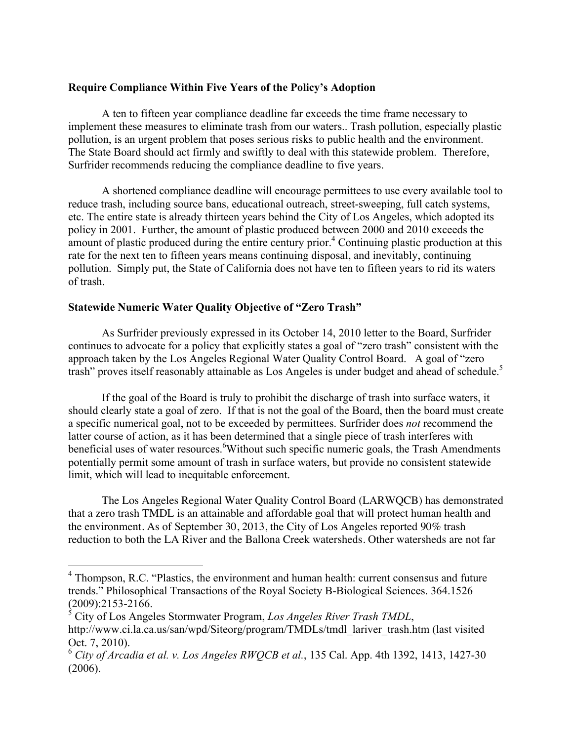# **Require Compliance Within Five Years of the Policy's Adoption**

A ten to fifteen year compliance deadline far exceeds the time frame necessary to implement these measures to eliminate trash from our waters.. Trash pollution, especially plastic pollution, is an urgent problem that poses serious risks to public health and the environment. The State Board should act firmly and swiftly to deal with this statewide problem. Therefore, Surfrider recommends reducing the compliance deadline to five years.

A shortened compliance deadline will encourage permittees to use every available tool to reduce trash, including source bans, educational outreach, street-sweeping, full catch systems, etc. The entire state is already thirteen years behind the City of Los Angeles, which adopted its policy in 2001. Further, the amount of plastic produced between 2000 and 2010 exceeds the amount of plastic produced during the entire century prior.<sup>4</sup> Continuing plastic production at this rate for the next ten to fifteen years means continuing disposal, and inevitably, continuing pollution. Simply put, the State of California does not have ten to fifteen years to rid its waters of trash.

# **Statewide Numeric Water Quality Objective of "Zero Trash"**

As Surfrider previously expressed in its October 14, 2010 letter to the Board, Surfrider continues to advocate for a policy that explicitly states a goal of "zero trash" consistent with the approach taken by the Los Angeles Regional Water Quality Control Board. A goal of "zero trash" proves itself reasonably attainable as Los Angeles is under budget and ahead of schedule.<sup>5</sup>

If the goal of the Board is truly to prohibit the discharge of trash into surface waters, it should clearly state a goal of zero. If that is not the goal of the Board, then the board must create a specific numerical goal, not to be exceeded by permittees. Surfrider does *not* recommend the latter course of action, as it has been determined that a single piece of trash interferes with beneficial uses of water resources. Without such specific numeric goals, the Trash Amendments potentially permit some amount of trash in surface waters, but provide no consistent statewide limit, which will lead to inequitable enforcement.

The Los Angeles Regional Water Quality Control Board (LARWQCB) has demonstrated that a zero trash TMDL is an attainable and affordable goal that will protect human health and the environment. As of September 30, 2013, the City of Los Angeles reported 90% trash reduction to both the LA River and the Ballona Creek watersheds. Other watersheds are not far

 <sup>4</sup> Thompson, R.C. "Plastics, the environment and human health: current consensus and future trends." Philosophical Transactions of the Royal Society B-Biological Sciences. 364.1526 (2009):2153-2166.

<sup>5</sup> City of Los Angeles Stormwater Program, *Los Angeles River Trash TMDL*, http://www.ci.la.ca.us/san/wpd/Siteorg/program/TMDLs/tmdl\_lariver\_trash.htm (last visited Oct. 7, 2010).

<sup>6</sup> *City of Arcadia et al. v. Los Angeles RWQCB et al.*, 135 Cal. App. 4th 1392, 1413, 1427-30 (2006).